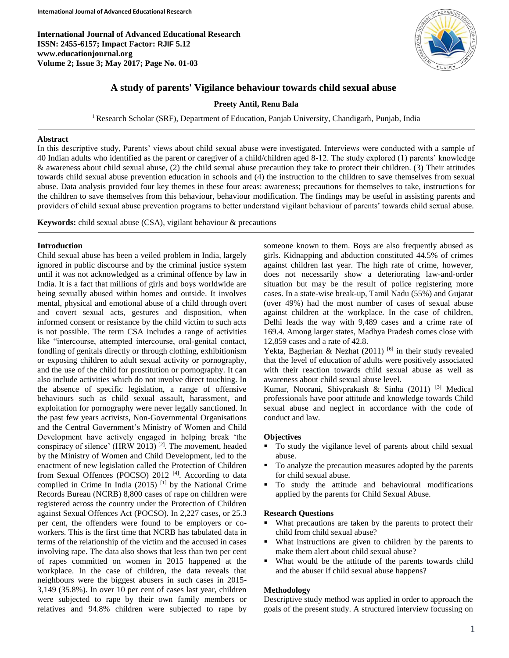**International Journal of Advanced Educational Research ISSN: 2455-6157; Impact Factor: RJIF 5.12 www.educationjournal.org Volume 2; Issue 3; May 2017; Page No. 01-03**



# **A study of parents' Vigilance behaviour towards child sexual abuse**

### **Preety Antil, Renu Bala**

<sup>1</sup> Research Scholar (SRF), Department of Education, Panjab University, Chandigarh, Punjab, India

#### **Abstract**

In this descriptive study, Parents' views about child sexual abuse were investigated. Interviews were conducted with a sample of 40 Indian adults who identified as the parent or caregiver of a child/children aged 8-12. The study explored (1) parents' knowledge & awareness about child sexual abuse, (2) the child sexual abuse precaution they take to protect their children. (3) Their attitudes towards child sexual abuse prevention education in schools and (4) the instruction to the children to save themselves from sexual abuse. Data analysis provided four key themes in these four areas: awareness; precautions for themselves to take, instructions for the children to save themselves from this behaviour, behaviour modification. The findings may be useful in assisting parents and providers of child sexual abuse prevention programs to better understand vigilant behaviour of parents' towards child sexual abuse.

**Keywords:** child sexual abuse (CSA), vigilant behaviour & precautions

### **Introduction**

Ī

Child sexual abuse has been a veiled problem in India, largely ignored in public discourse and by the criminal justice system until it was not acknowledged as a criminal offence by law in India. It is a fact that millions of girls and boys worldwide are being sexually abused within homes and outside. It involves mental, physical and emotional abuse of a child through overt and covert sexual acts, gestures and disposition, when informed consent or resistance by the child victim to such acts is not possible. The term CSA includes a range of activities like "intercourse, attempted intercourse, oral-genital contact, fondling of genitals directly or through clothing, exhibitionism or exposing children to adult sexual activity or pornography, and the use of the child for prostitution or pornography. It can also include activities which do not involve direct touching. In the absence of specific legislation, a range of offensive behaviours such as child sexual assault, harassment, and exploitation for pornography were never legally sanctioned. In the past few years activists, Non-Governmental Organisations and the Central Government's Ministry of Women and Child Development have actively engaged in helping break 'the conspiracy of silence' (HRW 2013) [2]. The movement, headed by the Ministry of Women and Child Development, led to the enactment of new legislation called the Protection of Children from Sexual Offences (POCSO) 2012<sup>[4]</sup>. According to data compiled in Crime In India  $(2015)$ <sup>[1]</sup> by the National Crime Records Bureau (NCRB) 8,800 cases of rape on children were registered across the country under the Protection of Children against Sexual Offences Act (POCSO). In 2,227 cases, or 25.3 per cent, the offenders were found to be employers or coworkers. This is the first time that NCRB has tabulated data in terms of the relationship of the victim and the accused in cases involving rape. The data also shows that less than two per cent of rapes committed on women in 2015 happened at the workplace. In the case of children, the data reveals that neighbours were the biggest abusers in such cases in 2015- 3,149 (35.8%). In over 10 per cent of cases last year, children were subjected to rape by their own family members or relatives and 94.8% children were subjected to rape by

someone known to them. Boys are also frequently abused as girls. Kidnapping and abduction constituted 44.5% of crimes against children last year. The high rate of crime, however, does not necessarily show a deteriorating law-and-order situation but may be the result of police registering more cases. In a state-wise break-up, Tamil Nadu (55%) and Gujarat (over 49%) had the most number of cases of sexual abuse against children at the workplace. In the case of children, Delhi leads the way with 9,489 cases and a crime rate of 169.4. Among larger states, Madhya Pradesh comes close with 12,859 cases and a rate of 42.8.

Yekta, Bagherian & Nezhat (2011) <sup>[6]</sup> in their study revealed that the level of education of adults were positively associated with their reaction towards child sexual abuse as well as awareness about child sexual abuse level.

Kumar, Noorani, Shivprakash & Sinha (2011) [3] Medical professionals have poor attitude and knowledge towards Child sexual abuse and neglect in accordance with the code of conduct and law.

## **Objectives**

- To study the vigilance level of parents about child sexual abuse.
- To analyze the precaution measures adopted by the parents for child sexual abuse.
- To study the attitude and behavioural modifications applied by the parents for Child Sexual Abuse.

#### **Research Questions**

- What precautions are taken by the parents to protect their child from child sexual abuse?
- What instructions are given to children by the parents to make them alert about child sexual abuse?
- What would be the attitude of the parents towards child and the abuser if child sexual abuse happens?

#### **Methodology**

Descriptive study method was applied in order to approach the goals of the present study. A structured interview focussing on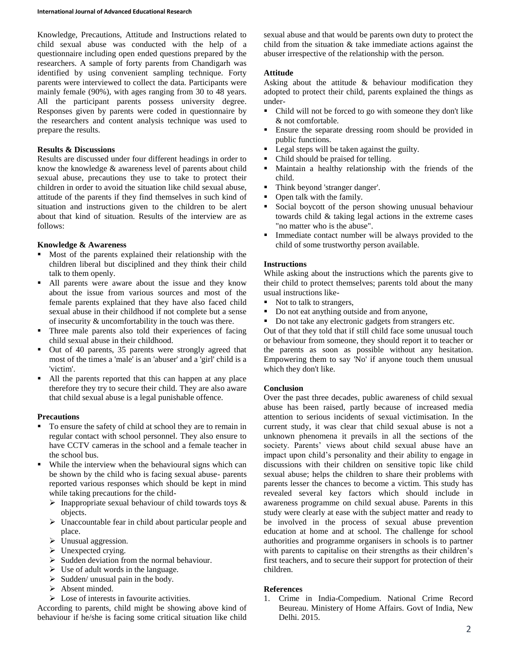Knowledge, Precautions, Attitude and Instructions related to child sexual abuse was conducted with the help of a questionnaire including open ended questions prepared by the researchers. A sample of forty parents from Chandigarh was identified by using convenient sampling technique. Forty parents were interviewed to collect the data. Participants were mainly female (90%), with ages ranging from 30 to 48 years. All the participant parents possess university degree. Responses given by parents were coded in questionnaire by the researchers and content analysis technique was used to prepare the results.

## **Results & Discussions**

Results are discussed under four different headings in order to know the knowledge & awareness level of parents about child sexual abuse, precautions they use to take to protect their children in order to avoid the situation like child sexual abuse, attitude of the parents if they find themselves in such kind of situation and instructions given to the children to be alert about that kind of situation. Results of the interview are as follows:

## **Knowledge & Awareness**

- Most of the parents explained their relationship with the children liberal but disciplined and they think their child talk to them openly.
- All parents were aware about the issue and they know about the issue from various sources and most of the female parents explained that they have also faced child sexual abuse in their childhood if not complete but a sense of insecurity & uncomfortability in the touch was there.
- Three male parents also told their experiences of facing child sexual abuse in their childhood.
- Out of 40 parents, 35 parents were strongly agreed that most of the times a 'male' is an 'abuser' and a 'girl' child is a 'victim'.
- All the parents reported that this can happen at any place therefore they try to secure their child. They are also aware that child sexual abuse is a legal punishable offence.

## **Precautions**

- To ensure the safety of child at school they are to remain in regular contact with school personnel. They also ensure to have CCTV cameras in the school and a female teacher in the school bus.
- While the interview when the behavioural signs which can be shown by the child who is facing sexual abuse- parents reported various responses which should be kept in mind while taking precautions for the child-
	- $\triangleright$  Inappropriate sexual behaviour of child towards toys & objects.
	- $\triangleright$  Unaccountable fear in child about particular people and place.
	- $\triangleright$  Unusual aggression.
	- $\triangleright$  Unexpected crying.
	- $\triangleright$  Sudden deviation from the normal behaviour.
	- $\triangleright$  Use of adult words in the language.
	- $\triangleright$  Sudden/ unusual pain in the body.
	- $\triangleright$  Absent minded.
	- $\triangleright$  Lose of interests in favourite activities.

According to parents, child might be showing above kind of behaviour if he/she is facing some critical situation like child sexual abuse and that would be parents own duty to protect the child from the situation & take immediate actions against the abuser irrespective of the relationship with the person.

# **Attitude**

Asking about the attitude & behaviour modification they adopted to protect their child, parents explained the things as under-

- Child will not be forced to go with someone they don't like & not comfortable.
- Ensure the separate dressing room should be provided in public functions.
- Legal steps will be taken against the guilty.
- Child should be praised for telling.
- Maintain a healthy relationship with the friends of the child.
- Think beyond 'stranger danger'.
- Open talk with the family.
- Social boycott of the person showing unusual behaviour towards child & taking legal actions in the extreme cases "no matter who is the abuse".
- Immediate contact number will be always provided to the child of some trustworthy person available.

## **Instructions**

While asking about the instructions which the parents give to their child to protect themselves; parents told about the many usual instructions like-

- Not to talk to strangers,
- Do not eat anything outside and from anyone,
- Do not take any electronic gadgets from strangers etc.

Out of that they told that if still child face some unusual touch or behaviour from someone, they should report it to teacher or the parents as soon as possible without any hesitation. Empowering them to say 'No' if anyone touch them unusual which they don't like.

# **Conclusion**

Over the past three decades, public awareness of child sexual abuse has been raised, partly because of increased media attention to serious incidents of sexual victimisation. In the current study, it was clear that child sexual abuse is not a unknown phenomena it prevails in all the sections of the society. Parents' views about child sexual abuse have an impact upon child's personality and their ability to engage in discussions with their children on sensitive topic like child sexual abuse; helps the children to share their problems with parents lesser the chances to become a victim. This study has revealed several key factors which should include in awareness programme on child sexual abuse. Parents in this study were clearly at ease with the subject matter and ready to be involved in the process of sexual abuse prevention education at home and at school. The challenge for school authorities and programme organisers in schools is to partner with parents to capitalise on their strengths as their children's first teachers, and to secure their support for protection of their children.

# **References**

1. Crime in India-Compedium. National Crime Record Beureau. Ministery of Home Affairs. Govt of India, New Delhi. 2015.